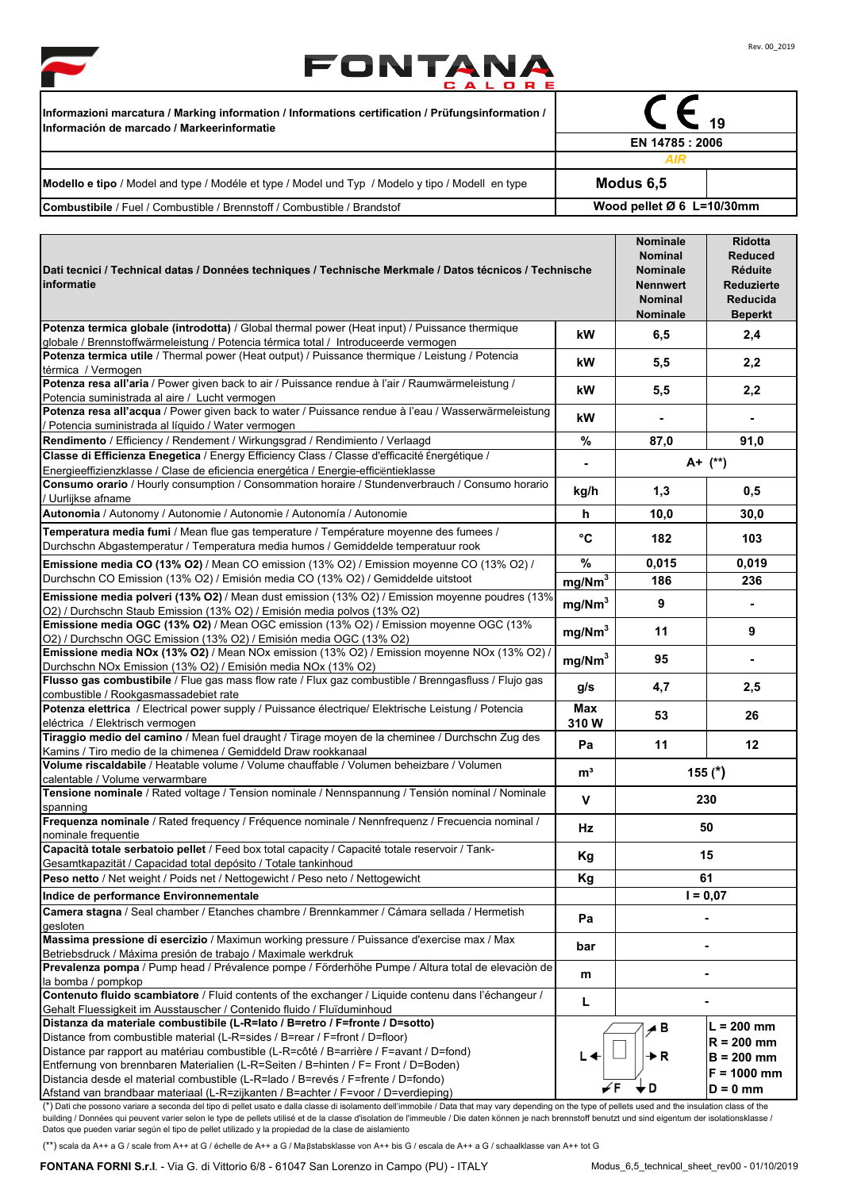



≖

 $\overline{\phantom{a}}$ 

| Informazioni marcatura / Marking information / Informations certification / Prüfungsinformation /<br>Información de marcado / Markeerinformatie |                             |  |  |
|-------------------------------------------------------------------------------------------------------------------------------------------------|-----------------------------|--|--|
|                                                                                                                                                 | EN 14785 : 2006             |  |  |
|                                                                                                                                                 | AIR                         |  |  |
| Modello e tipo / Model and type / Modéle et type / Model und Typ / Modelo y tipo / Modell en type                                               | Modus 6,5                   |  |  |
| <b>Combustibile</b> / Fuel / Combustible / Brennstoff / Combustible / Brandstof                                                                 | Wood pellet $Ø 6$ L=10/30mm |  |  |

| Dati tecnici / Technical datas / Données techniques / Technische Merkmale / Datos técnicos / Technische<br>informatie                                                                                                                                                                       |                    | <b>Nominale</b><br><b>Nominal</b><br><b>Nominale</b><br><b>Nennwert</b><br><b>Nominal</b><br>Nominale | <b>Ridotta</b><br><b>Reduced</b><br>Réduite<br>Reduzierte<br><b>Reducida</b><br><b>Beperkt</b> |
|---------------------------------------------------------------------------------------------------------------------------------------------------------------------------------------------------------------------------------------------------------------------------------------------|--------------------|-------------------------------------------------------------------------------------------------------|------------------------------------------------------------------------------------------------|
| Potenza termica globale (introdotta) / Global thermal power (Heat input) / Puissance thermique<br>globale / Brennstoffwärmeleistung / Potencia térmica total / Introduceerde vermogen                                                                                                       | kW                 | 6,5                                                                                                   | 2,4                                                                                            |
| Potenza termica utile / Thermal power (Heat output) / Puissance thermique / Leistung / Potencia                                                                                                                                                                                             |                    |                                                                                                       |                                                                                                |
| térmica / Vermogen                                                                                                                                                                                                                                                                          | kW                 | 5,5                                                                                                   | 2,2                                                                                            |
| Potenza resa all'aria / Power given back to air / Puissance rendue à l'air / Raumwärmeleistung /                                                                                                                                                                                            | kW                 | 5,5                                                                                                   | 2,2                                                                                            |
| Potencia suministrada al aire / Lucht vermogen<br>Potenza resa all'acqua / Power given back to water / Puissance rendue à l'eau / Wasserwärmeleistung                                                                                                                                       |                    |                                                                                                       |                                                                                                |
| Potencia suministrada al líquido / Water vermogen                                                                                                                                                                                                                                           | kW                 |                                                                                                       | Ξ.                                                                                             |
| Rendimento / Efficiency / Rendement / Wirkungsgrad / Rendimiento / Verlaagd                                                                                                                                                                                                                 | %                  | 87,0                                                                                                  | 91,0                                                                                           |
| Classe di Efficienza Enegetica / Energy Efficiency Class / Classe d'efficacité Énergétique /                                                                                                                                                                                                |                    |                                                                                                       |                                                                                                |
| Energieeffizienzklasse / Clase de eficiencia energética / Energie-efficientieklasse                                                                                                                                                                                                         | $\blacksquare$     | A+ (**)                                                                                               |                                                                                                |
| Consumo orario / Hourly consumption / Consommation horaire / Stundenverbrauch / Consumo horario                                                                                                                                                                                             | kg/h               | 1,3                                                                                                   | 0,5                                                                                            |
| / Uurlijkse afname                                                                                                                                                                                                                                                                          |                    |                                                                                                       |                                                                                                |
| Autonomia / Autonomy / Autonomie / Autonomie / Autonomía / Autonomie                                                                                                                                                                                                                        | h                  | 10,0                                                                                                  | 30,0                                                                                           |
| Temperatura media fumi / Mean flue gas temperature / Température moyenne des fumees /<br>Durchschn Abgastemperatur / Temperatura media humos / Gemiddelde temperatuur rook                                                                                                                  | °C                 | 182                                                                                                   | 103                                                                                            |
| Emissione media CO (13% O2) / Mean CO emission (13% O2) / Emission moyenne CO (13% O2) /                                                                                                                                                                                                    | %                  | 0,015                                                                                                 | 0,019                                                                                          |
| Durchschn CO Emission (13% O2) / Emisión media CO (13% O2) / Gemiddelde uitstoot                                                                                                                                                                                                            | mg/Nm <sup>3</sup> | 186                                                                                                   | 236                                                                                            |
| Emissione media polveri (13% O2) / Mean dust emission (13% O2) / Emission moyenne poudres (13%                                                                                                                                                                                              | mg/Nm <sup>3</sup> | 9                                                                                                     | $\blacksquare$                                                                                 |
| O2) / Durchschn Staub Emission (13% O2) / Emisión media polvos (13% O2)<br>Emissione media OGC (13% O2) / Mean OGC emission (13% O2) / Emission moyenne OGC (13%                                                                                                                            | mg/Nm <sup>3</sup> | 11                                                                                                    | 9                                                                                              |
| O2) / Durchschn OGC Emission (13% O2) / Emisión media OGC (13% O2)<br>Emissione media NOx (13% O2) / Mean NOx emission (13% O2) / Emission moyenne NOx (13% O2) /                                                                                                                           | mg/Nm <sup>3</sup> | 95                                                                                                    |                                                                                                |
| Durchschn NOx Emission (13% O2) / Emisión media NOx (13% O2)<br>Flusso gas combustibile / Flue gas mass flow rate / Flux gaz combustible / Brenngasfluss / Flujo gas                                                                                                                        |                    |                                                                                                       |                                                                                                |
| combustible / Rookgasmassadebiet rate                                                                                                                                                                                                                                                       | g/s                | 4,7                                                                                                   | 2,5                                                                                            |
| Potenza elettrica / Electrical power supply / Puissance électrique/ Elektrische Leistung / Potencia                                                                                                                                                                                         | Max                | 53                                                                                                    | 26                                                                                             |
| eléctrica / Elektrisch vermogen                                                                                                                                                                                                                                                             | 310W               |                                                                                                       |                                                                                                |
| Tiraggio medio del camino / Mean fuel draught / Tirage moyen de la cheminee / Durchschn Zug des                                                                                                                                                                                             | Pa                 | 11                                                                                                    | 12                                                                                             |
| Kamins / Tiro medio de la chimenea / Gemiddeld Draw rookkanaal<br>Volume riscaldabile / Heatable volume / Volume chauffable / Volumen beheizbare / Volumen                                                                                                                                  |                    |                                                                                                       |                                                                                                |
| calentable / Volume verwarmbare                                                                                                                                                                                                                                                             | m <sup>3</sup>     |                                                                                                       | 155 $(*)$                                                                                      |
| Tensione nominale / Rated voltage / Tension nominale / Nennspannung / Tensión nominal / Nominale                                                                                                                                                                                            |                    |                                                                                                       |                                                                                                |
| spanning                                                                                                                                                                                                                                                                                    | V                  |                                                                                                       | 230                                                                                            |
| Frequenza nominale / Rated frequency / Fréquence nominale / Nennfrequenz / Frecuencia nominal /                                                                                                                                                                                             | <b>Hz</b>          |                                                                                                       | 50                                                                                             |
| nominale frequentie                                                                                                                                                                                                                                                                         |                    |                                                                                                       |                                                                                                |
| Capacità totale serbatoio pellet / Feed box total capacity / Capacité totale reservoir / Tank-<br>Gesamtkapazität / Capacidad total depósito / Totale tankinhoud                                                                                                                            | Kg                 | 15                                                                                                    |                                                                                                |
| Peso netto / Net weight / Poids net / Nettogewicht / Peso neto / Nettogewicht                                                                                                                                                                                                               | Kg                 | 61                                                                                                    |                                                                                                |
| Indice de performance Environnementale                                                                                                                                                                                                                                                      |                    | $I = 0.07$                                                                                            |                                                                                                |
| Camera stagna / Seal chamber / Etanches chambre / Brennkammer / Cámara sellada / Hermetish                                                                                                                                                                                                  |                    |                                                                                                       |                                                                                                |
| gesloten                                                                                                                                                                                                                                                                                    | Pa                 |                                                                                                       |                                                                                                |
| Massima pressione di esercizio / Maximun working pressure / Puissance d'exercise max / Max                                                                                                                                                                                                  | bar                |                                                                                                       |                                                                                                |
| Betriebsdruck / Máxima presión de trabajo / Maximale werkdruk                                                                                                                                                                                                                               |                    |                                                                                                       |                                                                                                |
| Prevalenza pompa / Pump head / Prévalence pompe / Förderhöhe Pumpe / Altura total de elevación de                                                                                                                                                                                           | m                  |                                                                                                       |                                                                                                |
| la bomba / pompkop<br>Contenuto fluido scambiatore / Fluid contents of the exchanger / Liquide contenu dans l'échangeur /                                                                                                                                                                   |                    |                                                                                                       |                                                                                                |
| Gehalt Fluessigkeit im Ausstauscher / Contenido fluido / Fluïduminhoud                                                                                                                                                                                                                      | L                  |                                                                                                       |                                                                                                |
| Distanza da materiale combustibile (L-R=lato / B=retro / F=fronte / D=sotto)                                                                                                                                                                                                                |                    |                                                                                                       | $L = 200$ mm                                                                                   |
| Distance from combustible material (L-R=sides / B=rear / F=front / D=floor)                                                                                                                                                                                                                 |                    | ⊿B                                                                                                    | $R = 200$ mm                                                                                   |
| Distance par rapport au matériau combustible (L-R=côté / B=arrière / F=avant / D=fond)                                                                                                                                                                                                      |                    | ▶R                                                                                                    | $B = 200$ mm                                                                                   |
| Entfernung von brennbaren Materialien (L-R=Seiten / B=hinten / F= Front / D=Boden)                                                                                                                                                                                                          |                    |                                                                                                       | $F = 1000$ mm                                                                                  |
| Distancia desde el material combustible (L-R=lado / B=revés / F=frente / D=fondo)                                                                                                                                                                                                           |                    |                                                                                                       | D = 0 mm                                                                                       |
| Afstand van brandbaar materiaal (L-R=zijkanten / B=achter / F=voor / D=verdieping)<br>(*) Dati che possono variare a seconda del tipo di pellet usato e dalla classe di isolamento dell'immobile / Data that may vary depending on the type of pellets used and the insulation class of the |                    |                                                                                                       |                                                                                                |

(\*) Dati che possono variare a seconda del tipo di pellet usato e dalla classe di isolamento dell'immobile / Data that may vary depending on the type of pellets used and the insulation class of the building / Données qui peuvent varier selon le type de pellets utilisé et de la classe d'isolation de l'immeuble / Die daten können je nach brennstoff benutzt und sind eigentum der isolationsklasse /<br>Datos que pueden varia

(\*\*) scala da A++ a G / scale from A++ at G / échelle de A++ a G / Maβstabsklasse von A++ bis G / escala de A++ a G / schaalklasse van A++ tot G